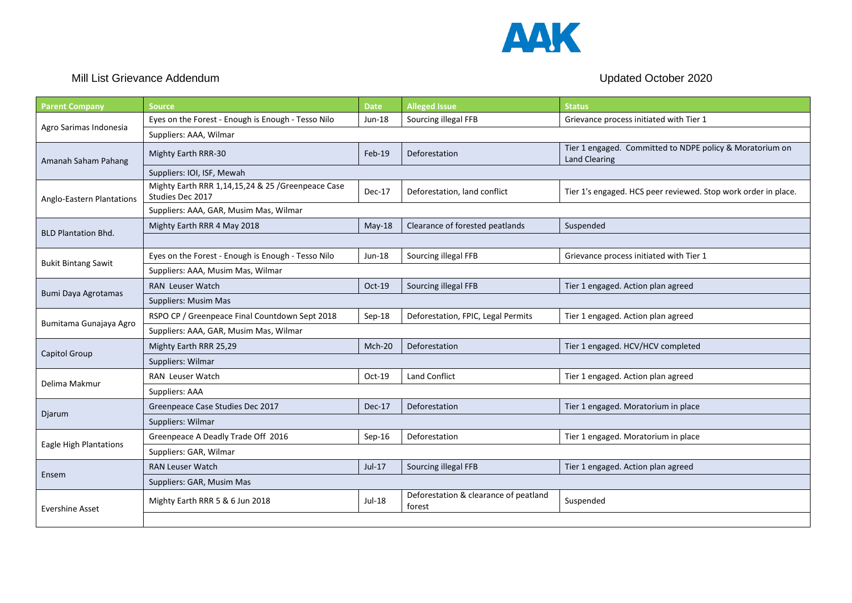

## Mill List Grievance Addendum and the state of the state of the Updated October 2020

| <b>Parent Company</b>         | <b>Source</b>                                                          | <b>Date</b> | <b>Alleged Issue</b>                            | <b>Status</b>                                                                    |  |  |
|-------------------------------|------------------------------------------------------------------------|-------------|-------------------------------------------------|----------------------------------------------------------------------------------|--|--|
| Agro Sarimas Indonesia        | Eyes on the Forest - Enough is Enough - Tesso Nilo                     | Jun-18      | Sourcing illegal FFB                            | Grievance process initiated with Tier 1                                          |  |  |
|                               | Suppliers: AAA, Wilmar                                                 |             |                                                 |                                                                                  |  |  |
| Amanah Saham Pahang           | <b>Mighty Earth RRR-30</b>                                             | Feb-19      | Deforestation                                   | Tier 1 engaged. Committed to NDPE policy & Moratorium on<br><b>Land Clearing</b> |  |  |
|                               | Suppliers: IOI, ISF, Mewah                                             |             |                                                 |                                                                                  |  |  |
| Anglo-Eastern Plantations     | Mighty Earth RRR 1,14,15,24 & 25 / Greenpeace Case<br>Studies Dec 2017 | Dec-17      | Deforestation, land conflict                    | Tier 1's engaged. HCS peer reviewed. Stop work order in place.                   |  |  |
|                               | Suppliers: AAA, GAR, Musim Mas, Wilmar                                 |             |                                                 |                                                                                  |  |  |
| <b>BLD Plantation Bhd.</b>    | Mighty Earth RRR 4 May 2018                                            | May-18      | Clearance of forested peatlands                 | Suspended                                                                        |  |  |
|                               |                                                                        |             |                                                 |                                                                                  |  |  |
| <b>Bukit Bintang Sawit</b>    | Eyes on the Forest - Enough is Enough - Tesso Nilo                     | Jun-18      | Sourcing illegal FFB                            | Grievance process initiated with Tier 1                                          |  |  |
|                               | Suppliers: AAA, Musim Mas, Wilmar                                      |             |                                                 |                                                                                  |  |  |
| Bumi Daya Agrotamas           | <b>RAN Leuser Watch</b>                                                | Oct-19      | Sourcing illegal FFB                            | Tier 1 engaged. Action plan agreed                                               |  |  |
|                               | Suppliers: Musim Mas                                                   |             |                                                 |                                                                                  |  |  |
| Bumitama Gunajaya Agro        | RSPO CP / Greenpeace Final Countdown Sept 2018                         | Sep-18      | Deforestation, FPIC, Legal Permits              | Tier 1 engaged. Action plan agreed                                               |  |  |
|                               | Suppliers: AAA, GAR, Musim Mas, Wilmar                                 |             |                                                 |                                                                                  |  |  |
|                               | Mighty Earth RRR 25,29                                                 | Mch-20      | Deforestation                                   | Tier 1 engaged. HCV/HCV completed                                                |  |  |
| Capitol Group                 | Suppliers: Wilmar                                                      |             |                                                 |                                                                                  |  |  |
| Delima Makmur                 | RAN Leuser Watch                                                       | Oct-19      | <b>Land Conflict</b>                            | Tier 1 engaged. Action plan agreed                                               |  |  |
|                               | Suppliers: AAA                                                         |             |                                                 |                                                                                  |  |  |
| Djarum                        | Greenpeace Case Studies Dec 2017                                       | Dec-17      | Deforestation                                   | Tier 1 engaged. Moratorium in place                                              |  |  |
|                               | Suppliers: Wilmar                                                      |             |                                                 |                                                                                  |  |  |
| <b>Eagle High Plantations</b> | Greenpeace A Deadly Trade Off 2016                                     | Sep-16      | Deforestation                                   | Tier 1 engaged. Moratorium in place                                              |  |  |
|                               | Suppliers: GAR, Wilmar                                                 |             |                                                 |                                                                                  |  |  |
| Ensem                         | <b>RAN Leuser Watch</b>                                                | Jul-17      | Sourcing illegal FFB                            | Tier 1 engaged. Action plan agreed                                               |  |  |
|                               | Suppliers: GAR, Musim Mas                                              |             |                                                 |                                                                                  |  |  |
| <b>Evershine Asset</b>        | Mighty Earth RRR 5 & 6 Jun 2018                                        | Jul-18      | Deforestation & clearance of peatland<br>forest | Suspended                                                                        |  |  |
|                               |                                                                        |             |                                                 |                                                                                  |  |  |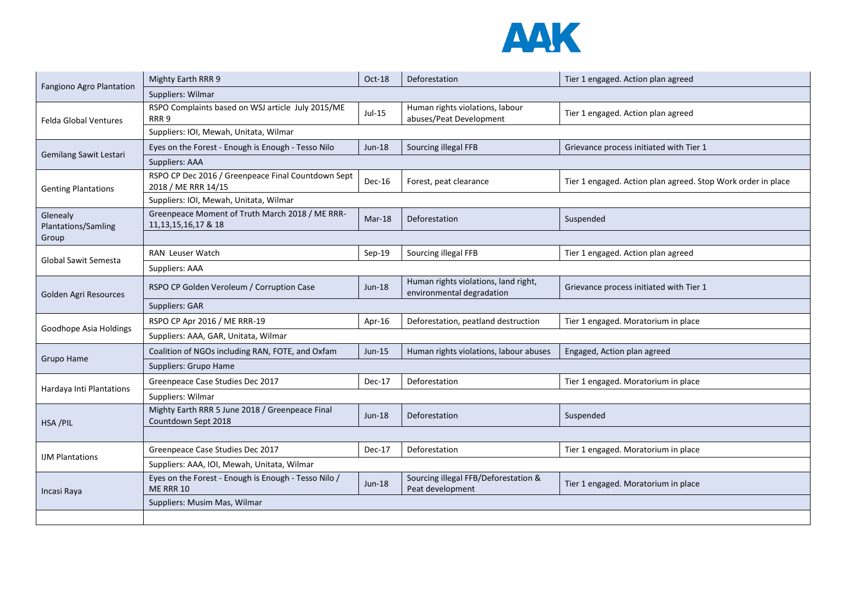

| Fangiono Agro Plantation        | Mighty Earth RRR 9                                                         | Oct-18        | Deforestation                                                     | Tier 1 engaged. Action plan agreed                           |  |  |
|---------------------------------|----------------------------------------------------------------------------|---------------|-------------------------------------------------------------------|--------------------------------------------------------------|--|--|
|                                 | Suppliers: Wilmar                                                          |               |                                                                   |                                                              |  |  |
| <b>Felda Global Ventures</b>    | RSPO Complaints based on WSJ article July 2015/ME<br>RRR <sub>9</sub>      | Jul-15        | Human rights violations, labour<br>abuses/Peat Development        | Tier 1 engaged. Action plan agreed                           |  |  |
|                                 | Suppliers: IOI, Mewah, Unitata, Wilmar                                     |               |                                                                   |                                                              |  |  |
| <b>Gemilang Sawit Lestari</b>   | Eyes on the Forest - Enough is Enough - Tesso Nilo                         | <b>Jun-18</b> | Sourcing illegal FFB                                              | Grievance process initiated with Tier 1                      |  |  |
|                                 | Suppliers: AAA                                                             |               |                                                                   |                                                              |  |  |
| <b>Genting Plantations</b>      | RSPO CP Dec 2016 / Greenpeace Final Countdown Sept<br>2018 / ME RRR 14/15  | Dec-16        | Forest, peat clearance                                            | Tier 1 engaged. Action plan agreed. Stop Work order in place |  |  |
|                                 | Suppliers: IOI, Mewah, Unitata, Wilmar                                     |               |                                                                   |                                                              |  |  |
| Glenealy<br>Plantations/Samling | Greenpeace Moment of Truth March 2018 / ME RRR-<br>11, 13, 15, 16, 17 & 18 | $Mar-18$      | Deforestation                                                     | Suspended                                                    |  |  |
| Group                           |                                                                            |               |                                                                   |                                                              |  |  |
| <b>Global Sawit Semesta</b>     | <b>RAN Leuser Watch</b>                                                    | Sep-19        | Sourcing illegal FFB                                              | Tier 1 engaged. Action plan agreed                           |  |  |
|                                 | Suppliers: AAA                                                             |               |                                                                   |                                                              |  |  |
| Golden Agri Resources           | RSPO CP Golden Veroleum / Corruption Case                                  | $Jun-18$      | Human rights violations, land right,<br>environmental degradation | Grievance process initiated with Tier 1                      |  |  |
|                                 | Suppliers: GAR                                                             |               |                                                                   |                                                              |  |  |
| Goodhope Asia Holdings          | RSPO CP Apr 2016 / ME RRR-19                                               | Apr-16        | Deforestation, peatland destruction                               | Tier 1 engaged. Moratorium in place                          |  |  |
|                                 | Suppliers: AAA, GAR, Unitata, Wilmar                                       |               |                                                                   |                                                              |  |  |
| Grupo Hame                      | Coalition of NGOs including RAN, FOTE, and Oxfam                           | Jun-15        | Human rights violations, labour abuses                            | Engaged, Action plan agreed                                  |  |  |
|                                 | Suppliers: Grupo Hame                                                      |               |                                                                   |                                                              |  |  |
| Hardaya Inti Plantations        | Greenpeace Case Studies Dec 2017                                           | Dec-17        | Deforestation                                                     | Tier 1 engaged. Moratorium in place                          |  |  |
|                                 | Suppliers: Wilmar                                                          |               |                                                                   |                                                              |  |  |
| HSA/PIL                         | Mighty Earth RRR 5 June 2018 / Greenpeace Final<br>Countdown Sept 2018     | <b>Jun-18</b> | Deforestation                                                     | Suspended                                                    |  |  |
|                                 |                                                                            |               |                                                                   |                                                              |  |  |
| <b>IJM Plantations</b>          | Greenpeace Case Studies Dec 2017                                           | Dec-17        | Deforestation                                                     | Tier 1 engaged. Moratorium in place                          |  |  |
|                                 | Suppliers: AAA, IOI, Mewah, Unitata, Wilmar                                |               |                                                                   |                                                              |  |  |
| Incasi Raya                     | Eyes on the Forest - Enough is Enough - Tesso Nilo /<br><b>ME RRR 10</b>   | Jun-18        | Sourcing illegal FFB/Deforestation &<br>Peat development          | Tier 1 engaged. Moratorium in place                          |  |  |
|                                 | Suppliers: Musim Mas, Wilmar                                               |               |                                                                   |                                                              |  |  |
|                                 |                                                                            |               |                                                                   |                                                              |  |  |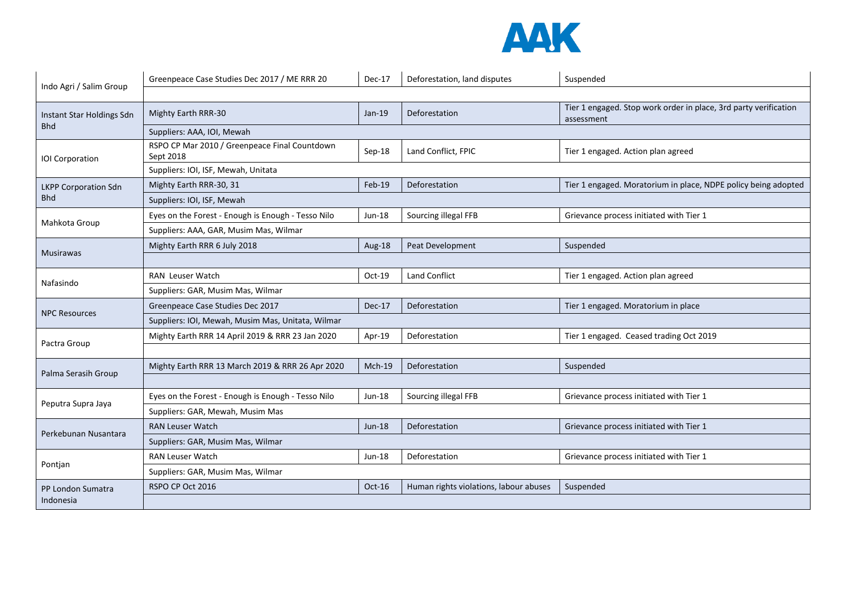

|                                         | Greenpeace Case Studies Dec 2017 / ME RRR 20               | Dec-17        | Deforestation, land disputes           | Suspended                                                                      |  |  |
|-----------------------------------------|------------------------------------------------------------|---------------|----------------------------------------|--------------------------------------------------------------------------------|--|--|
| Indo Agri / Salim Group                 |                                                            |               |                                        |                                                                                |  |  |
| Instant Star Holdings Sdn<br><b>Bhd</b> | Mighty Earth RRR-30                                        | Jan-19        | Deforestation                          | Tier 1 engaged. Stop work order in place, 3rd party verification<br>assessment |  |  |
|                                         | Suppliers: AAA, IOI, Mewah                                 |               |                                        |                                                                                |  |  |
| <b>IOI</b> Corporation                  | RSPO CP Mar 2010 / Greenpeace Final Countdown<br>Sept 2018 | Sep-18        | Land Conflict, FPIC                    | Tier 1 engaged. Action plan agreed                                             |  |  |
|                                         | Suppliers: IOI, ISF, Mewah, Unitata                        |               |                                        |                                                                                |  |  |
| <b>LKPP Corporation Sdn</b>             | Mighty Earth RRR-30, 31                                    | Feb-19        | Deforestation                          | Tier 1 engaged. Moratorium in place, NDPE policy being adopted                 |  |  |
| <b>Bhd</b>                              | Suppliers: IOI, ISF, Mewah                                 |               |                                        |                                                                                |  |  |
|                                         | Eyes on the Forest - Enough is Enough - Tesso Nilo         | Jun-18        | Sourcing illegal FFB                   | Grievance process initiated with Tier 1                                        |  |  |
| Mahkota Group                           | Suppliers: AAA, GAR, Musim Mas, Wilmar                     |               |                                        |                                                                                |  |  |
|                                         | Mighty Earth RRR 6 July 2018                               | Aug-18        | Peat Development                       | Suspended                                                                      |  |  |
| <b>Musirawas</b>                        |                                                            |               |                                        |                                                                                |  |  |
| Nafasindo                               | <b>RAN</b> Leuser Watch                                    | Oct-19        | <b>Land Conflict</b>                   | Tier 1 engaged. Action plan agreed                                             |  |  |
|                                         | Suppliers: GAR, Musim Mas, Wilmar                          |               |                                        |                                                                                |  |  |
| <b>NPC Resources</b>                    | Greenpeace Case Studies Dec 2017                           | Dec-17        | Deforestation                          | Tier 1 engaged. Moratorium in place                                            |  |  |
|                                         | Suppliers: IOI, Mewah, Musim Mas, Unitata, Wilmar          |               |                                        |                                                                                |  |  |
| Pactra Group                            | Mighty Earth RRR 14 April 2019 & RRR 23 Jan 2020           | Apr-19        | Deforestation                          | Tier 1 engaged. Ceased trading Oct 2019                                        |  |  |
|                                         |                                                            |               |                                        |                                                                                |  |  |
|                                         | Mighty Earth RRR 13 March 2019 & RRR 26 Apr 2020           | Mch-19        | Deforestation                          | Suspended                                                                      |  |  |
| Palma Serasih Group                     |                                                            |               |                                        |                                                                                |  |  |
| Peputra Supra Jaya                      | Eyes on the Forest - Enough is Enough - Tesso Nilo         | <b>Jun-18</b> | Sourcing illegal FFB                   | Grievance process initiated with Tier 1                                        |  |  |
|                                         | Suppliers: GAR, Mewah, Musim Mas                           |               |                                        |                                                                                |  |  |
| Perkebunan Nusantara                    | <b>RAN Leuser Watch</b>                                    | <b>Jun-18</b> | Deforestation                          | Grievance process initiated with Tier 1                                        |  |  |
|                                         | Suppliers: GAR, Musim Mas, Wilmar                          |               |                                        |                                                                                |  |  |
| Pontjan                                 | <b>RAN Leuser Watch</b>                                    | Jun-18        | Deforestation                          | Grievance process initiated with Tier 1                                        |  |  |
|                                         | Suppliers: GAR, Musim Mas, Wilmar                          |               |                                        |                                                                                |  |  |
| PP London Sumatra<br>Indonesia          | RSPO CP Oct 2016                                           | $Oct-16$      | Human rights violations, labour abuses | Suspended                                                                      |  |  |
|                                         |                                                            |               |                                        |                                                                                |  |  |